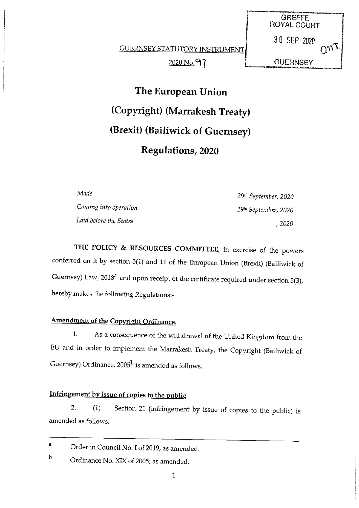GUERNSEY STATUTORY INSTRUMENT 2020 No. 97

**GREFFE** ROYAL COURT 30 SEP 2020  $Q_{W2}$ **GUERNSEY** 

The European Union (Copyright) (Marrakesh Treaty) (Brexit) (Bailiwick of Guernsey) Regulations, 2020

Coming into operation 2008 29th September, 2020 Laid before the States  $\mu$  2020

Made 29" September, 2020

THE POLICY & RESOURCES COMMITTEE, in exercise of the powers conferred on it by section 5(1) and <sup>11</sup> of the European Union (Brexit) (Bailiwick of Guernsey) Law, 2018<sup>a</sup> and upon receipt of the certificate required under section 5(3), hereby makes the following Regulations:

### Amendment of the Copyright Ordinance.

1. As a consequence of the withdrawal of the United Kingdom from the EU and in order to implement the Marrakesh Treaty, the Copyright (Bailiwick of Guernsey) Ordinance,  $2005^{\rm b}$  is amended as follows.

## Infringement by issue of copies to the public

2. (1) Section 21 (infringement by issue of copies to the public) is amended as follows.

<sup>a</sup> Order in Council No. I of 2019, as amended.

**b** Ordinance No. XIX of 2005; as amended.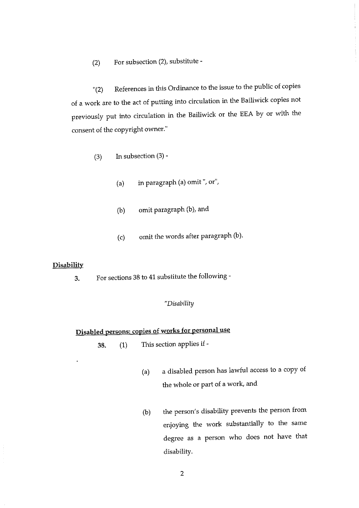(2) For subsection (2), substitute -

"(2) References in this Ordinance to the issue to the public of copies of <sup>a</sup> work are to the act of putting into circulation in the Bailiwick copies not previously put into circulation in the Bailiwick or the EEA by or with the consent of the copyright owner."

- (3) In subsection  $(3)$  -
	- (a) in paragraph (a) omit ", or",
	- (b) omit paragraph (b), and
	- (c) omit the words after paragraph (b).

#### **Disability**

3. For sections 38 to 41 substitute the following -

#### "Disability

## Disabled persons: copies of works for personal use

- 38. (1) This section applies if
	- (a) <sup>a</sup> disabled person has lawful access to a copy of the whole or part of <sup>a</sup> work, and
	- (b) the person's disability prevents the person from enjoying the work substantially to the same degree as <sup>a</sup> person who does not have that disability.

2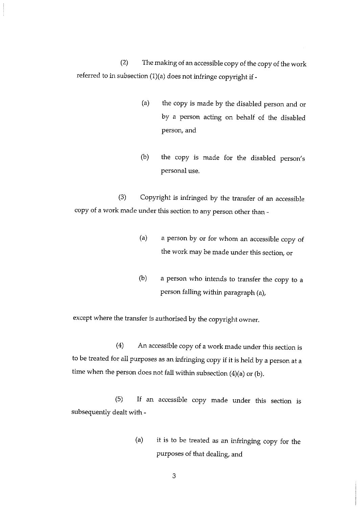(2) The making of an accessible copy of the copy of the work referred to in subsection (1)(a) does not infringe copyright if -

- (a) the copy is made by the disabled person and or by a person acting on behalf of the disabled person, and
- (b) the copy is made for the disabled person's personal use.

(3) Copyright is infringed by the transfer of an accessible copy of <sup>a</sup> work made under this section to any person other than -

- (a) <sup>a</sup> person by or for whom an accessible copy of the work may be made under this section, or
- (b) <sup>a</sup> person who intends to transfer the copy to <sup>a</sup> person falling within paragraph (a),

except where the transfer is authorised by the copyright owner.

(4) An accessible copy of <sup>a</sup> work made under this section is to be treated for all purposes as an infringing copy if it is held by <sup>a</sup> person at <sup>a</sup> time when the person does not fall within subsection (4)(a) or (b).

(5) If an accessible copy made under this section is subsequently dealt with -

> (a) it is to be treated as an infringing copy for the purposes of that dealing, and

> > 3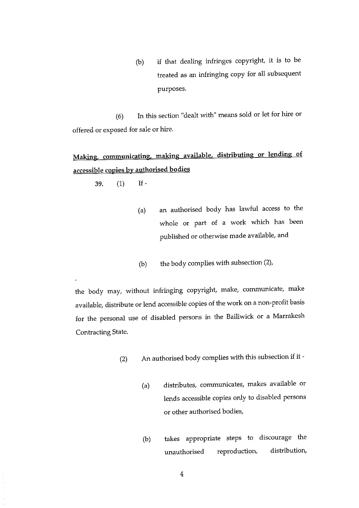(b) if that dealing infringes copyright, it is to be treated as an infringing copy for all subsequent purposes.

(6) In this section "dealt with" means sold or let for hire or offered or exposed for sale or hire.

# Making, communicating, making available, distributing or lending of accessible copies by authorised bodies

39. (1) If-

- (a) an authorised body has lawful access to the whole or part of <sup>a</sup> work which has been published or otherwise made available, and
- (b) the body complies with subsection (2),

the body may, without infringing copyright, make, communicate, make available, distribute or lend accessible copies of the work on a non-profit basis for the personal use of disabled persons in the Bailiwick or <sup>a</sup> Marrakesh Contracting State.

- (2) An authorised body complies with this subsection if it
	- (a) distributes, communicates, makes available or lends accessible copies only to disabled persons or other authorised bodies,
	- (b) takes appropriate steps to discourage the unauthorised reproduction, distribution,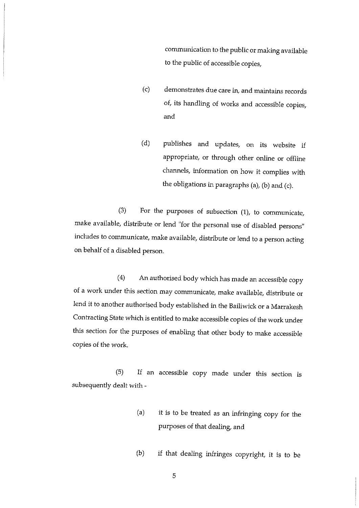communication to the public or making available to the public of accessible copies,

- (c) demonstrates due care in, and maintains records of, its handling of works and accessible copies, and
- (d) publishes and updates, on its website if appropriate, or through other online or offline channels, information on how it complies with the obligations in paragraphs (a), (b) and (c).

(3) For the purposes of subsection (1), to communicate, make available, distribute or lend "for the personal use of disabled persons" includes to communicate, make available, distribute or lend to <sup>a</sup> person acting on behalf of a disabled person.

(4) An authorised body which has made an accessible copy of <sup>a</sup> work under this section may communicate, make available, distribute or lend it to another authorised body established in the Bailiwick or <sup>a</sup> Marrakesh Contracting State which is entitled to make accessible copies of the work under this section for the purposes of enabling that other body to make accessible copies of the work.

(5) If an accessible copy made under this section is subsequently dealt with -

- (a) it is to be treated as an infringing copy for the purposes of that dealing, and
- (b) if that dealing infringes copyright, it is to be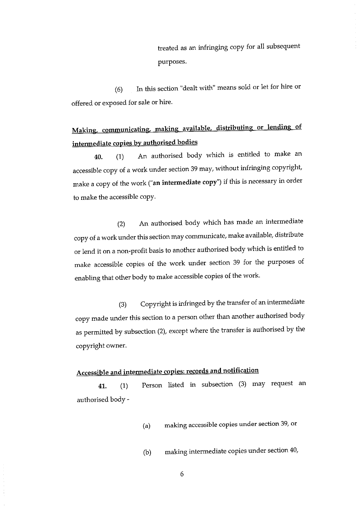treated as an infringing copy for all subsequent purposes.

(6) In this section "dealt with" means sold or let for hire or offered or exposed for sale or hire.

# Making, communicating, making available, distributing or lending of intermediate copies by authorised bodies

40. (1) An authorised body which is entitled to make an accessible copy of <sup>a</sup> work under section 39 may, without infringing copyright, make <sup>a</sup> copy of the work ("an intermediate copy") if this is necessary in order to make the accessible copy.

(2) An authorised body which has made an intermediate copy of <sup>a</sup> work under this section may communicate, make available, distribute or lend it on <sup>a</sup> non-profit basis to another authorised body which is entitled to make accessible copies of the work under section 39 for the purposes of enabling that other body to make accessible copies of the work.

(3) Copyright is infringed by the transfer of an intermediate copy made under this section to <sup>a</sup> person other than another authorised body as permitted by subsection (2), except where the transfer is authorised by the copyright owner.

## Accessible and intermediate copies: records and notification

41. (1) Person listed in subsection (3) may request an authorised body -

- (a) making accessible copies under section 39, or
- (b) making intermediate copies under section 40,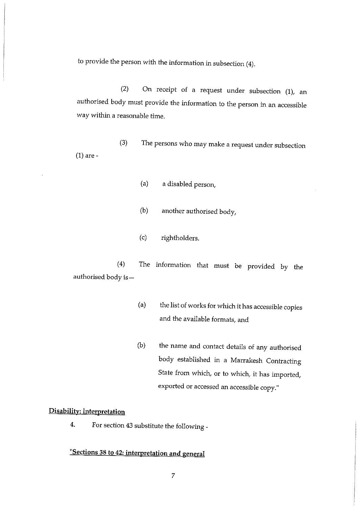to provide the person with the information in subsection (4).

(2) On receipt of a request under subsection (1), an authorised body must provide the information to the person in an accessible way within <sup>a</sup> reasonable time.

- (3) The persons who may make <sup>a</sup> request under subsection (1) are -
	- (a) a disabled person,
	- (b) another authorised body,
	- (c) rightholders.

(4) The information that must be provided by the authorised body is—

> (a) the list of works for which it has accessible copies and the available formats, and

> (b) the name and contact details of any authorised body established in a Marrakesh Contracting State from which, or to which, it has imported, exported or accessed an accessible copy."

#### Disability: interpretation

4. For section 43 substitute the following -

## "Sections 38 to 42: interpretation and general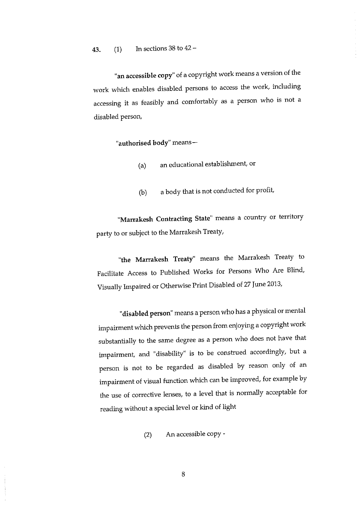"an accessible copy" of <sup>a</sup> copyright work means <sup>a</sup> version of the work which enables disabled persons to access the work, including accessing it as feasibly and comfortably as <sup>a</sup> person who is not <sup>a</sup> disabled person,

"authorised body" means—

- (a) an educational establishment, or
- (b) <sup>a</sup> body that is not conducted for profit,

"Marrakesh Contracting State" means a country or territory party to or subject to the Marrakesh Treaty,

"the Marrakesh Treaty" means the Marrakesh Treaty to Facilitate Access to Published Works for Persons Who Are Blind, Visually Impaired or Otherwise Print Disabled of 27 June 2013,

"disabled person" means a person who has <sup>a</sup> physical or mental impairment which prevents the person from enjoying <sup>a</sup> copyright work substantially to the same degree as a person who does not have that impairment, and "disability" is to be construed accordingly, but <sup>a</sup> person is not to be regarded as disabled by reason only of an impairment of visual function which can be improved, for example by the use of corrective lenses, to <sup>a</sup> level that is normally acceptable for reading without <sup>a</sup> special level or kind of light

(2) An accessible copy -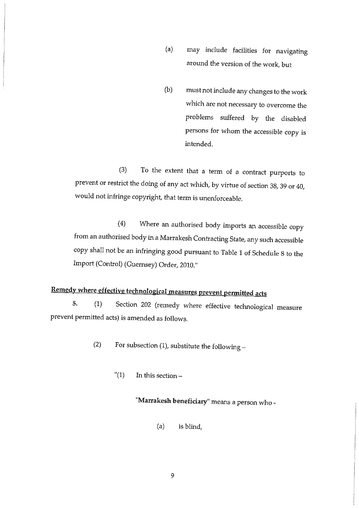(a) may include facilities for navigating around the version of the work, but

(b) must not include any changes to the work which are not necessary to overcome the problems suffered by the disabled persons for whom the accessible copy is intended.

(3) To the extent that a term of <sup>a</sup> contract purports to prevent or restrict the doing of any act which, by virtue of section 38, 39 or 40, would not infringe copyright, that term is unenforceable.

(4) Where an authorised body imports an accessible copy from an authorised body in <sup>a</sup> Marrakesh Contracting State, any such accessible copy shall not be an infringing good pursuant to Table <sup>1</sup> of Schedule <sup>8</sup> to the Import (Control) (Guernsey) Order, 2010.'

# Remedy where effective technological measures prevent permitted acts

5. (1) Section 202 (remedy where effective technological measure prevent permitted acts) is amended as follows.

- (2) For subsection (1), substitute the following
	- " $(1)$  In this section –

"Marrakesh beneficiary" means <sup>a</sup> person who -

(a) is blind,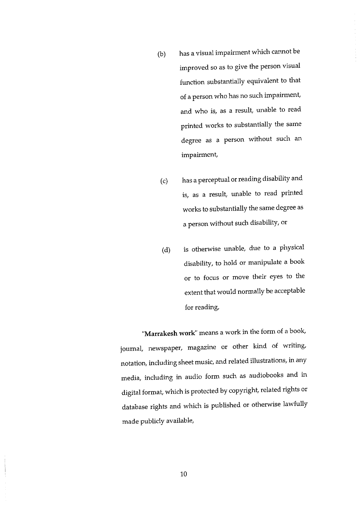- (b) has <sup>a</sup> visual impairment which cannot be improved so as to give the person visual function substantially equivalent to that of a person who has no such impairment, and who is, as <sup>a</sup> result, unable to read printed works to substantially the same degree as <sup>a</sup> person without such an impairment,
- (c) has <sup>a</sup> perceptual or reading disability and is, as <sup>a</sup> result, unable to read printed works to substantially the same degree as <sup>a</sup> person without such disability, or
- (d) is otherwise unable, due to a physical disability, to hold or manipulate a book or to focus or move their eyes to the extent that would normally be acceptable for reading,

"Marrakesh work" means a work in the form of a book, journal, newspaper, magazine or other kind of writing, notation, including sheet music, and related illustrations, in any media, including in audio form such as audiobooks and in digital format, which is protected by copyright, related rights or database rights and which is published or otherwise lawfully made publicly available,

10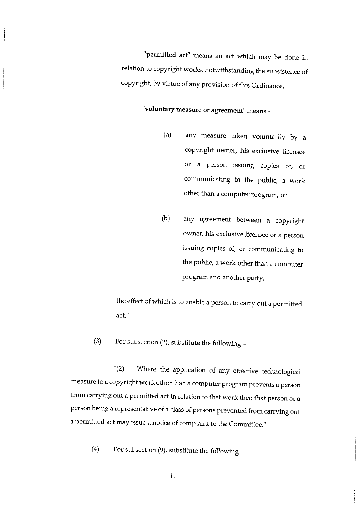'permitted act' means an act which may be done in relation to copyright works, notwithstanding the subsistence of copyright, by virtue of any provision of this Ordinance,

## "voluntary measure or agreement" means -

- (a) any measure taken voluntarily by <sup>a</sup> copyright owner, his exclusive licensee or a person issuing copies of, or communicating to the public, <sup>a</sup> work other than a computer program, or
- (b) any agreement between <sup>a</sup> copyright owner, his exclusive licensee or a person issuing copies of, or communicating to the public, <sup>a</sup> work other than <sup>a</sup> computer program and another party,

the effect of which is to enable <sup>a</sup> person to carry out <sup>a</sup> permitted act."

(3) For subsection (2), substitute the following  $-$ 

'(2) Where the application of any effective technological measure to <sup>a</sup> copyright work other than <sup>a</sup> computer program prevents <sup>a</sup> person from carrying out <sup>a</sup> permitted act in relation to that work then that person or <sup>a</sup> person being a representative of <sup>a</sup> class of persons prevented from carrying out <sup>a</sup> permitted act may issue <sup>a</sup> notice of complaint to the Committee."

(4) For subsection (9), substitute the following —

:11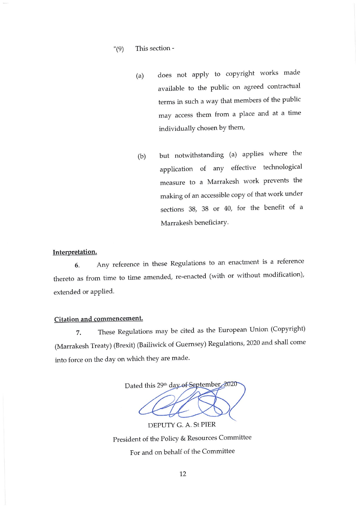#### "(9) This section -

- (a) does not apply to copyright works made available to the public on agreed contractual terms in such a way that members of the public may access them from a place and at <sup>a</sup> time individually chosen by them,
- (b) but notwithstanding (a) applies where the application of any effective technological measure to <sup>a</sup> Marrakesh work prevents the making of an accessible copy of that work under sections 38, 38 or 40, for the benefit of <sup>a</sup> Marrakesh beneficiary.

### Interpretation.

6. Any reference in these Regulations to an enactment is <sup>a</sup> reference thereto as from time to time amended, re-enacted (with or without modification), extended or applied.

#### Citation and commencement.

7. These Regulations may be cited as the European Union (Copyright) (Marrakesh Treaty) (Brexit) (Bailiwick of Guernsey) Regulations, 2020 and shall come into force on the day on which they are made.

Dated this 29th day of September 2020 DEPUTY C. A. St PIER

President of the Policy & Resources Committee For and on behalf of the Committee